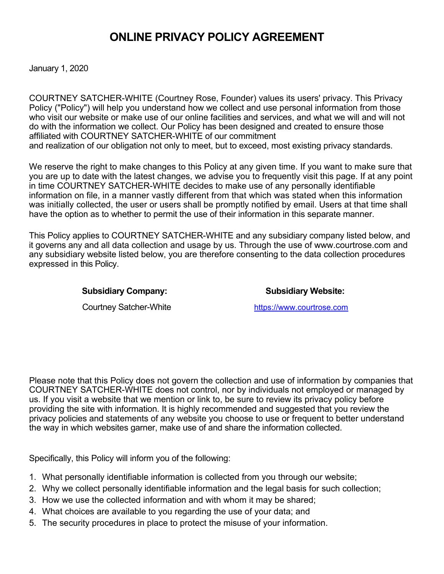# **ONLINE PRIVACY POLICY AGREEMENT**

January 1, 2020

COURTNEY SATCHER-WHITE (Courtney Rose, Founder) values its users' privacy. This Privacy Policy ("Policy") will help you understand how we collect and use personal information from those who visit our website or make use of our online facilities and services, and what we will and will not do with the information we collect. Our Policy has been designed and created to ensure those affiliated with COURTNEY SATCHER-WHITE of our commitment and realization of our obligation not only to meet, but to exceed, most existing privacy standards.

We reserve the right to make changes to this Policy at any given time. If you want to make sure that you are up to date with the latest changes, we advise you to frequently visit this page. If at any point in time COURTNEY SATCHER-WHITE decides to make use of any personally identifiable information on file, in a manner vastly different from that which was stated when this information was initially collected, the user or users shall be promptly notified by email. Users at that time shall have the option as to whether to permit the use of their information in this separate manner.

This Policy applies to COURTNEY SATCHER-WHITE and any subsidiary company listed below, and it governs any and all data collection and usage by us. Through the use of www.courtrose.com and any subsidiary website listed below, you are therefore consenting to the data collection procedures expressed in this Policy.

#### Subsidiary Company: Subsidiary Website:

Courtney Satcher-White [https://www.courtrose.com](https://www.toniringgold.biz/)

Please note that this Policy does not govern the collection and use of information by companies that COURTNEY SATCHER-WHITE does not control, nor by individuals not employed or managed by us. If you visit a website that we mention or link to, be sure to review its privacy policy before providing the site with information. It is highly recommended and suggested that you review the privacy policies and statements of any website you choose to use or frequent to better understand the way in which websites garner, make use of and share the information collected.

Specifically, this Policy will inform you of the following:

- 1. What personally identifiable information is collected from you through our website;
- 2. Why we collect personally identifiable information and the legal basis for such collection;
- 3. How we use the collected information and with whom it may be shared;
- 4. What choices are available to you regarding the use of your data; and
- 5. The security procedures in place to protect the misuse of your information.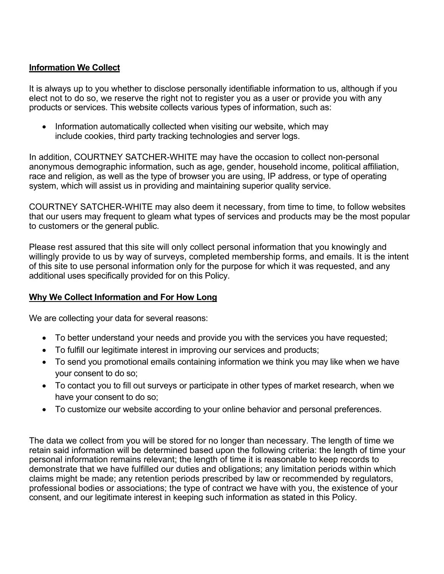# **Information We Collect**

It is always up to you whether to disclose personally identifiable information to us, although if you elect not to do so, we reserve the right not to register you as a user or provide you with any products or services. This website collects various types of information, such as:

• Information automatically collected when visiting our website, which may include cookies, third party tracking technologies and server logs.

In addition, COURTNEY SATCHER-WHITE may have the occasion to collect non-personal anonymous demographic information, such as age, gender, household income, political affiliation, race and religion, as well as the type of browser you are using, IP address, or type of operating system, which will assist us in providing and maintaining superior quality service.

COURTNEY SATCHER-WHITE may also deem it necessary, from time to time, to follow websites that our users may frequent to gleam what types of services and products may be the most popular to customers or the general public.

Please rest assured that this site will only collect personal information that you knowingly and willingly provide to us by way of surveys, completed membership forms, and emails. It is the intent of this site to use personal information only for the purpose for which it was requested, and any additional uses specifically provided for on this Policy.

# **Why We Collect Information and For How Long**

We are collecting your data for several reasons:

- To better understand your needs and provide you with the services you have requested;
- To fulfill our legitimate interest in improving our services and products;
- To send you promotional emails containing information we think you may like when we have your consent to do so;
- To contact you to fill out surveys or participate in other types of market research, when we have your consent to do so;
- To customize our website according to your online behavior and personal preferences.

The data we collect from you will be stored for no longer than necessary. The length of time we retain said information will be determined based upon the following criteria: the length of time your personal information remains relevant; the length of time it is reasonable to keep records to demonstrate that we have fulfilled our duties and obligations; any limitation periods within which claims might be made; any retention periods prescribed by law or recommended by regulators, professional bodies or associations; the type of contract we have with you, the existence of your consent, and our legitimate interest in keeping such information as stated in this Policy.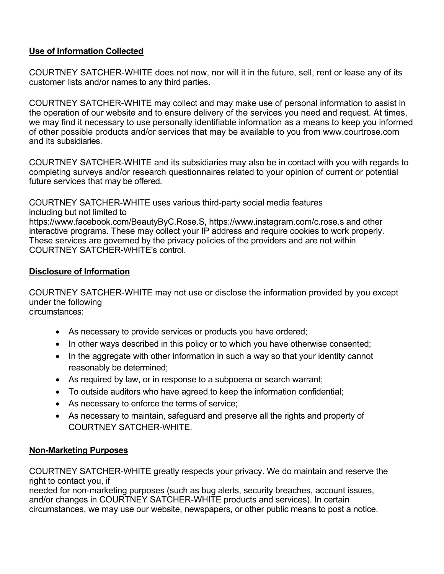# **Use of Information Collected**

COURTNEY SATCHER-WHITE does not now, nor will it in the future, sell, rent or lease any of its customer lists and/or names to any third parties.

COURTNEY SATCHER-WHITE may collect and may make use of personal information to assist in the operation of our website and to ensure delivery of the services you need and request. At times, we may find it necessary to use personally identifiable information as a means to keep you informed of other possible products and/or services that may be available to you from www.courtrose.com and its subsidiaries.

COURTNEY SATCHER-WHITE and its subsidiaries may also be in contact with you with regards to completing surveys and/or research questionnaires related to your opinion of current or potential future services that may be offered.

COURTNEY SATCHER-WHITE uses various third-party social media features including but not limited to https://www.facebook.com/BeautyByC.Rose.S, https://www.instagram.com/c.rose.s and other interactive programs. These may collect your IP address and require cookies to work properly. These services are governed by the privacy policies of the providers and are not within COURTNEY SATCHER-WHITE's control.

# **Disclosure of Information**

COURTNEY SATCHER-WHITE may not use or disclose the information provided by you except under the following circumstances:

- As necessary to provide services or products you have ordered;
- In other ways described in this policy or to which you have otherwise consented;
- In the aggregate with other information in such a way so that your identity cannot reasonably be determined;
- As required by law, or in response to a subpoena or search warrant;
- To outside auditors who have agreed to keep the information confidential;
- As necessary to enforce the terms of service;
- As necessary to maintain, safeguard and preserve all the rights and property of COURTNEY SATCHER-WHITE.

# **Non-Marketing Purposes**

COURTNEY SATCHER-WHITE greatly respects your privacy. We do maintain and reserve the right to contact you, if

needed for non-marketing purposes (such as bug alerts, security breaches, account issues, and/or changes in COURTNEY SATCHER-WHITE products and services). In certain circumstances, we may use our website, newspapers, or other public means to post a notice.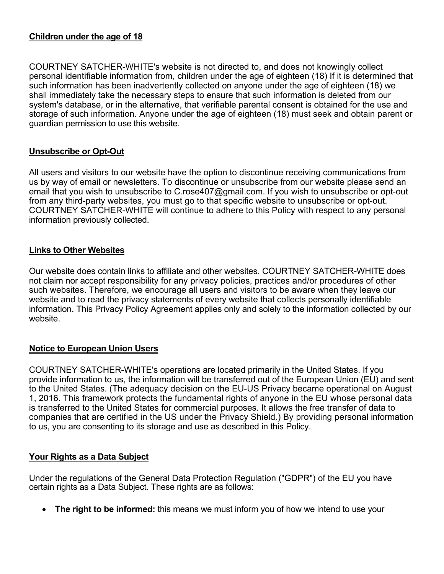#### **Children under the age of 18**

COURTNEY SATCHER-WHITE's website is not directed to, and does not knowingly collect personal identifiable information from, children under the age of eighteen (18) If it is determined that such information has been inadvertently collected on anyone under the age of eighteen (18) we shall immediately take the necessary steps to ensure that such information is deleted from our system's database, or in the alternative, that verifiable parental consent is obtained for the use and storage of such information. Anyone under the age of eighteen (18) must seek and obtain parent or guardian permission to use this website.

# **Unsubscribe or Opt-Out**

All users and visitors to our website have the option to discontinue receiving communications from us by way of email or newsletters. To discontinue or unsubscribe from our website please send an email that you wish to unsubscribe to C.rose407@gmail.com. If you wish to unsubscribe or opt-out from any third-party websites, you must go to that specific website to unsubscribe or opt-out. COURTNEY SATCHER-WHITE will continue to adhere to this Policy with respect to any personal information previously collected.

#### **Links to Other Websites**

Our website does contain links to affiliate and other websites. COURTNEY SATCHER-WHITE does not claim nor accept responsibility for any privacy policies, practices and/or procedures of other such websites. Therefore, we encourage all users and visitors to be aware when they leave our website and to read the privacy statements of every website that collects personally identifiable information. This Privacy Policy Agreement applies only and solely to the information collected by our website.

#### **Notice to European Union Users**

COURTNEY SATCHER-WHITE's operations are located primarily in the United States. If you provide information to us, the information will be transferred out of the European Union (EU) and sent to the United States. (The adequacy decision on the EU-US Privacy became operational on August 1, 2016. This framework protects the fundamental rights of anyone in the EU whose personal data is transferred to the United States for commercial purposes. It allows the free transfer of data to companies that are certified in the US under the Privacy Shield.) By providing personal information to us, you are consenting to its storage and use as described in this Policy.

#### **Your Rights as a Data Subject**

Under the regulations of the General Data Protection Regulation ("GDPR") of the EU you have certain rights as a Data Subject. These rights are as follows:

• **The right to be informed:** this means we must inform you of how we intend to use your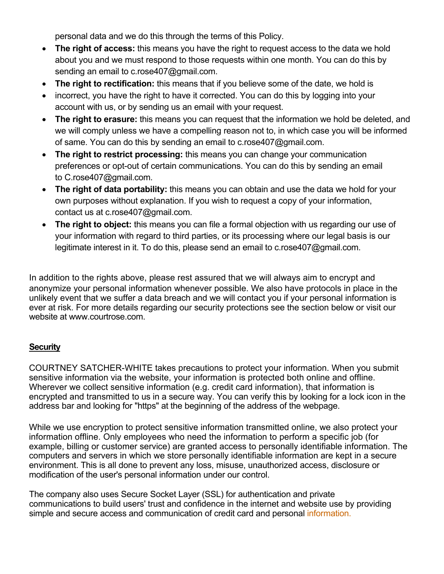personal data and we do this through the terms of this Policy.

- **The right of access:** this means you have the right to request access to the data we hold about you and we must respond to those requests within one month. You can do this by sending an email to c.rose407@gmail.com.
- **The right to rectification:** this means that if you believe some of the date, we hold is
- incorrect, you have the right to have it corrected. You can do this by logging into your account with us, or by sending us an email with your request.
- **The right to erasure:** this means you can request that the information we hold be deleted, and we will comply unless we have a compelling reason not to, in which case you will be informed of same. You can do this by sending an email to c.rose407@gmail.com.
- **The right to restrict processing:** this means you can change your communication preferences or opt-out of certain communications. You can do this by sending an email to C.rose407@gmail.com.
- **The right of data portability:** this means you can obtain and use the data we hold for your own purposes without explanation. If you wish to request a copy of your information, contact us at c.rose407@gmail.com.
- **The right to object:** this means you can file a formal objection with us regarding our use of your information with regard to third parties, or its processing where our legal basis is our legitimate interest in it. To do this, please send an email to c.rose407@gmail.com.

In addition to the rights above, please rest assured that we will always aim to encrypt and anonymize your personal information whenever possible. We also have protocols in place in the unlikely event that we suffer a data breach and we will contact you if your personal information is ever at risk. For more details regarding our security protections see the section below or visit our website at www.courtrose.com.

# **Security**

COURTNEY SATCHER-WHITE takes precautions to protect your information. When you submit sensitive information via the website, your information is protected both online and offline. Wherever we collect sensitive information (e.g. credit card information), that information is encrypted and transmitted to us in a secure way. You can verify this by looking for a lock icon in the address bar and looking for "https" at the beginning of the address of the webpage.

While we use encryption to protect sensitive information transmitted online, we also protect your information offline. Only employees who need the information to perform a specific job (for example, billing or customer service) are granted access to personally identifiable information. The computers and servers in which we store personally identifiable information are kept in a secure environment. This is all done to prevent any loss, misuse, unauthorized access, disclosure or modification of the user's personal information under our control.

The company also uses Secure Socket Layer (SSL) for authentication and private communications to build users' trust and confidence in the internet and website use by providing simple and secure access and communication of credit card and personal information.